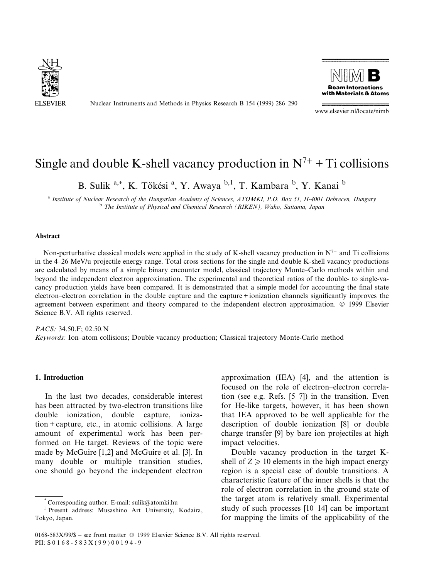

Nuclear Instruments and Methods in Physics Research B 154 (1999) 286-290



www.elsevier.nl/locate/nimb

# Single and double K-shell vacancy production in  $N^{7+}$  + Ti collisions

B. Sulik<sup>a,\*</sup>, K. Tőkési<sup>a</sup>, Y. Awaya <sup>b, 1</sup>, T. Kambara <sup>b</sup>, Y. Kanai <sup>b</sup>

a Institute of Nuclear Research of the Hungarian Academy of Sciences, ATOMKI, P.O. Box 51, H-4001 Debrecen, Hungary<br><sup>b</sup> The Institute of Physical and Chemical Research (RIKEN), Wako, Saitama, Japan

# Abstract

Non-perturbative classical models were applied in the study of K-shell vacancy production in  $N^{7+}$  and Ti collisions in the 4±26 MeV/u projectile energy range. Total cross sections for the single and double K-shell vacancy productions are calculated by means of a simple binary encounter model, classical trajectory Monte-Carlo methods within and beyond the independent electron approximation. The experimental and theoretical ratios of the double- to single-vacancy production yields have been compared. It is demonstrated that a simple model for accounting the final state electron-electron correlation in the double capture and the capture + ionization channels significantly improves the agreement between experiment and theory compared to the independent electron approximation. © 1999 Elsevier Science B.V. All rights reserved.

PACS: 34.50.F; 02.50.N Keywords: Ion–atom collisions; Double vacancy production; Classical trajectory Monte-Carlo method

# 1. Introduction

In the last two decades, considerable interest has been attracted by two-electron transitions like double ionization, double capture, ionization + capture, etc., in atomic collisions. A large amount of experimental work has been performed on He target. Reviews of the topic were made by McGuire [1,2] and McGuire et al. [3]. In many double or multiple transition studies, one should go beyond the independent electron

approximation (IEA) [4], and the attention is focused on the role of electron-electron correlation (see e.g. Refs.  $[5-7]$ ) in the transition. Even for He-like targets, however, it has been shown that IEA approved to be well applicable for the description of double ionization [8] or double charge transfer [9] by bare ion projectiles at high impact velocities.

Double vacancy production in the target Kshell of  $Z \ge 10$  elements in the high impact energy region is a special case of double transitions. A characteristic feature of the inner shells is that the role of electron correlation in the ground state of the target atom is relatively small. Experimental study of such processes  $[10-14]$  can be important for mapping the limits of the applicability of the

<sup>\*</sup> Corresponding author. E-mail: sulik@atomki.hu <sup>1</sup> Present address: Musashino Art University, Kodaira, Tokyo, Japan.

<sup>0168-583</sup>X/99/\$ – see front matter  $\odot$  1999 Elsevier Science B.V. All rights reserved. PII: S 0 1 6 8 - 5 8 3 X ( 9 9 ) 0 0 1 9 4 - 9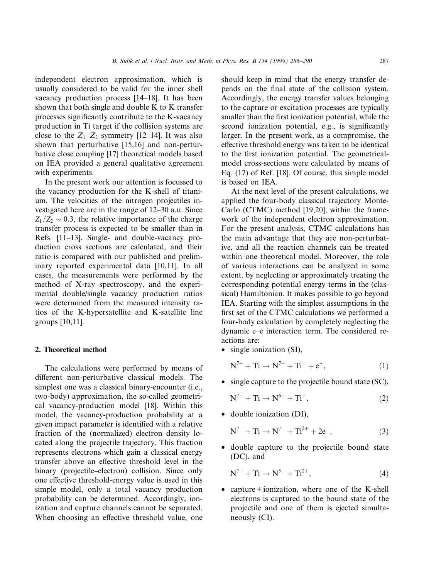independent electron approximation, which is usually considered to be valid for the inner shell vacancy production process  $[14–18]$ . It has been shown that both single and double K to K transfer processes significantly contribute to the K-vacancy production in Ti target if the collision systems are close to the  $Z_1$ - $Z_2$  symmetry [12–14]. It was also shown that perturbative [15,16] and non-perturbative close coupling [17] theoretical models based on IEA provided a general qualitative agreement with experiments.

In the present work our attention is focussed to the vacancy production for the K-shell of titanium. The velocities of the nitrogen projectiles investigated here are in the range of  $12-30$  a.u. Since  $Z_1/Z_2 \sim 0.3$ , the relative importance of the charge transfer process is expected to be smaller than in Refs. [11-13]. Single- and double-vacancy production cross sections are calculated, and their ratio is compared with our published and preliminary reported experimental data [10,11]. In all cases, the measurements were performed by the method of X-ray spectroscopy, and the experimental double/single vacancy production ratios were determined from the measured intensity ratios of the K-hypersatellite and K-satellite line groups [10,11].

### 2. Theoretical method

The calculations were performed by means of different non-perturbative classical models. The simplest one was a classical binary-encounter (i.e., two-body) approximation, the so-called geometrical vacancy-production model [18]. Within this model, the vacancy-production probability at a given impact parameter is identified with a relative fraction of the (normalized) electron density located along the projectile trajectory. This fraction represents electrons which gain a classical energy transfer above an effective threshold level in the binary (projectile–electron) collision. Since only one effective threshold-energy value is used in this simple model, only a total vacancy production probability can be determined. Accordingly, ionization and capture channels cannot be separated. When choosing an effective threshold value, one

should keep in mind that the energy transfer depends on the final state of the collision system. Accordingly, the energy transfer values belonging to the capture or excitation processes are typically smaller than the first ionization potential, while the second ionization potential, e.g., is significantly larger. In the present work, as a compromise, the effective threshold energy was taken to be identical to the first ionization potential. The geometricalmodel cross-sections were calculated by means of Eq. (17) of Ref. [18]. Of course, this simple model is based on IEA.

At the next level of the present calculations, we applied the four-body classical trajectory Monte-Carlo (CTMC) method [19,20], within the framework of the independent electron approximation. For the present analysis, CTMC calculations has the main advantage that they are non-perturbative, and all the reaction channels can be treated within one theoretical model. Moreover, the role of various interactions can be analyzed in some extent, by neglecting or approximately treating the corresponding potential energy terms in the (classical) Hamiltonian. It makes possible to go beyond IEA. Starting with the simplest assumptions in the first set of the CTMC calculations we performed a four-body calculation by completely neglecting the dynamic e-e interaction term. The considered reactions are:

• single ionization (SI),

$$
N^{7+} + Ti \rightarrow N^{7+} + Ti^{+} + e^{-}, \qquad (1)
$$

- single capture to the projectile bound state (SC),
	- $N^{7+} + Ti \rightarrow N^{6+} + Ti^{+}$ , (2)
- double ionization (DI),

$$
N^{7+} + Ti \rightarrow N^{7+} + Ti^{2+} + 2e^-, \tag{3}
$$

· double capture to the projectile bound state (DC), and

$$
N^{7+} + Ti \to N^{5+} + Ti^{2+}, \tag{4}
$$

• capture + ionization, where one of the K-shell electrons is captured to the bound state of the projectile and one of them is ejected simultaneously (CI).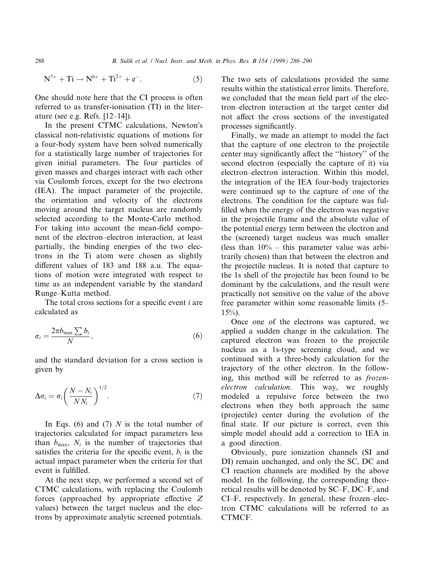$$
N^{7+} + Ti \rightarrow N^{6+} + Ti^{2+} + e^{-}.
$$
 (5)

One should note here that the CI process is often referred to as transfer-ionisation (TI) in the literature (see e.g. Refs.  $[12-14]$ ).

In the present CTMC calculations, Newton's classical non-relativistic equations of motions for a four-body system have been solved numerically for a statistically large number of trajectories for given initial parameters. The four particles of given masses and charges interact with each other via Coulomb forces, except for the two electrons (IEA). The impact parameter of the projectile, the orientation and velocity of the electrons moving around the target nucleus are randomly selected according to the Monte-Carlo method. For taking into account the mean-field component of the electron-electron interaction, at least partially, the binding energies of the two electrons in the Ti atom were chosen as slightly different values of 183 and 188 a.u. The equations of motion were integrated with respect to time as an independent variable by the standard Runge-Kutta method.

The total cross sections for a specific event  $i$  are calculated as

$$
\sigma_i = \frac{2\pi b_{\text{max}} \sum b_i}{N},\tag{6}
$$

and the standard deviation for a cross section is given by

$$
\Delta \sigma_i = \sigma_i \left( \frac{N - N_i}{N N_i} \right)^{1/2}.
$$
\n(7)

In Eqs. (6) and (7)  $N$  is the total number of trajectories calculated for impact parameters less than  $b_{\text{max}}$ ,  $N_i$  is the number of trajectories that satisfies the criteria for the specific event,  $b_i$  is the actual impact parameter when the criteria for that event is fulfilled.

At the next step, we performed a second set of CTMC calculations, with replacing the Coulomb forces (approached by appropriate effective  $Z$ values) between the target nucleus and the electrons by approximate analytic screened potentials.

The two sets of calculations provided the same results within the statistical error limits. Therefore, we concluded that the mean field part of the electron-electron interaction at the target center did not affect the cross sections of the investigated processes significantly.

Finally, we made an attempt to model the fact that the capture of one electron to the projectile center may significantly affect the "history" of the second electron (especially the capture of it) via electron-electron interaction. Within this model, the integration of the IEA four-body trajectories were continued up to the capture of one of the electrons. The condition for the capture was ful filled when the energy of the electron was negative in the projectile frame and the absolute value of the potential energy term between the electron and the (screened) target nucleus was much smaller (less than  $10\%$  – this parameter value was arbitrarily chosen) than that between the electron and the projectile nucleus. It is noted that capture to the 1s shell of the projectile has been found to be dominant by the calculations, and the result were practically not sensitive on the value of the above free parameter within some reasonable limits (5–  $15\%$ ).

Once one of the electrons was captured, we applied a sudden change in the calculation. The captured electron was frozen to the projectile nucleus as a 1s-type screening cloud, and we continued with a three-body calculation for the trajectory of the other electron. In the following, this method will be referred to as frozenelectron calculation. This way, we roughly modeled a repulsive force between the two electrons when they both approach the same (projectile) center during the evolution of the final state. If our picture is correct, even this simple model should add a correction to IEA in a good direction.

Obviously, pure ionization channels (SI and DI) remain unchanged, and only the SC, DC and CI reaction channels are modified by the above model. In the following, the corresponding theoretical results will be denoted by SC-F, DC-F, and CI-F, respectively. In general, these frozen-electron CTMC calculations will be referred to as CTMCF.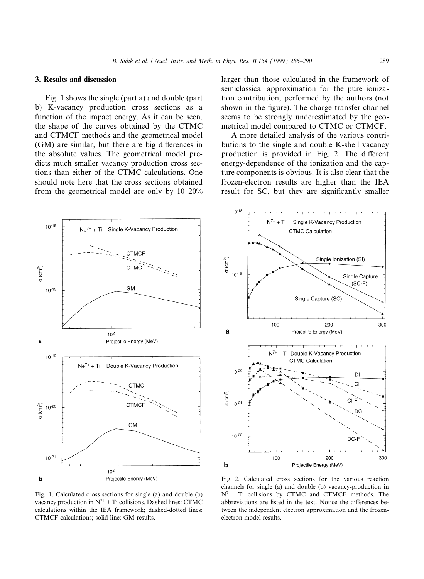### 3. Results and discussion

Fig. 1 shows the single (part a) and double (part b) K-vacancy production cross sections as a function of the impact energy. As it can be seen, the shape of the curves obtained by the CTMC and CTMCF methods and the geometrical model (GM) are similar, but there are big differences in the absolute values. The geometrical model predicts much smaller vacancy production cross sections than either of the CTMC calculations. One should note here that the cross sections obtained from the geometrical model are only by  $10-20\%$ 

larger than those calculated in the framework of semiclassical approximation for the pure ionization contribution, performed by the authors (not shown in the figure). The charge transfer channel seems to be strongly underestimated by the geometrical model compared to CTMC or CTMCF.

A more detailed analysis of the various contributions to the single and double K-shell vacancy production is provided in Fig. 2. The different energy-dependence of the ionization and the capture components is obvious. It is also clear that the frozen-electron results are higher than the IEA result for SC, but they are significantly smaller



 $10^{-18}$  $N^{7+}$  + Ti Single K-Vacancy Production **CTMC Calculation**  $\sigma$  (cm<sup>2</sup>) Single Ionization (SI)  $10^{-19}$ Single Capture  $(SC-F)$ Single Capture (SC) 100 300 200 a Projectile Energy (MeV)  $N^{7+}$ Ti Double K-Vacancy Production **CTMC Calculation**  $10^{-20}$ DI  $\sigma$  (cm<sup>2</sup>)  $10^{-2}$  $10^{-22}$ DC. 100 200 300 b Projectile Energy (MeV)

Fig. 1. Calculated cross sections for single (a) and double (b) vacancy production in  $N^{7+}$  + Ti collisions. Dashed lines: CTMC calculations within the IEA framework; dashed-dotted lines: CTMCF calculations; solid line: GM results.

Fig. 2. Calculated cross sections for the various reaction channels for single (a) and double (b) vacancy-production in  $N^{7+}$  + Ti collisions by CTMC and CTMCF methods. The abbreviations are listed in the text. Notice the differences between the independent electron approximation and the frozenelectron model results.